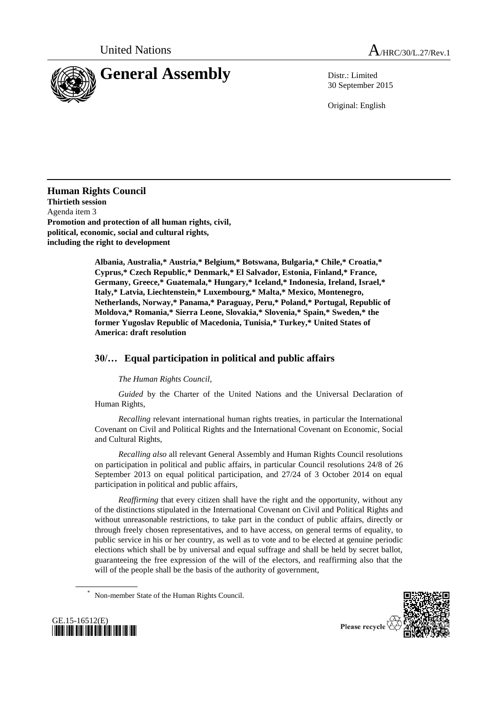



30 September 2015

Original: English

**Human Rights Council Thirtieth session** Agenda item 3 **Promotion and protection of all human rights, civil, political, economic, social and cultural rights, including the right to development**

> **Albania, Australia,\* Austria,\* Belgium,\* Botswana, Bulgaria,\* Chile,\* Croatia,\* Cyprus,\* Czech Republic,\* Denmark,\* El Salvador, Estonia, Finland,\* France, Germany, Greece,\* Guatemala,\* Hungary,\* Iceland,\* Indonesia, Ireland, Israel,\* Italy,\* Latvia, Liechtenstein,\* Luxembourg,\* Malta,\* Mexico, Montenegro, Netherlands, Norway,\* Panama,\* Paraguay, Peru,\* Poland,\* Portugal, Republic of Moldova,\* Romania,\* Sierra Leone, Slovakia,\* Slovenia,\* Spain,\* Sweden,\* the former Yugoslav Republic of Macedonia, Tunisia,\* Turkey,\* United States of America: draft resolution**

## **30/… Equal participation in political and public affairs**

*The Human Rights Council*,

*Guided* by the Charter of the United Nations and the Universal Declaration of Human Rights,

*Recalling* relevant international human rights treaties, in particular the International Covenant on Civil and Political Rights and the International Covenant on Economic, Social and Cultural Rights,

*Recalling also* all relevant General Assembly and Human Rights Council resolutions on participation in political and public affairs, in particular Council resolutions 24/8 of 26 September 2013 on equal political participation, and 27/24 of 3 October 2014 on equal participation in political and public affairs,

*Reaffirming* that every citizen shall have the right and the opportunity, without any of the distinctions stipulated in the International Covenant on Civil and Political Rights and without unreasonable restrictions, to take part in the conduct of public affairs, directly or through freely chosen representatives, and to have access, on general terms of equality, to public service in his or her country, as well as to vote and to be elected at genuine periodic elections which shall be by universal and equal suffrage and shall be held by secret ballot, guaranteeing the free expression of the will of the electors, and reaffirming also that the will of the people shall be the basis of the authority of government,





Non-member State of the Human Rights Council.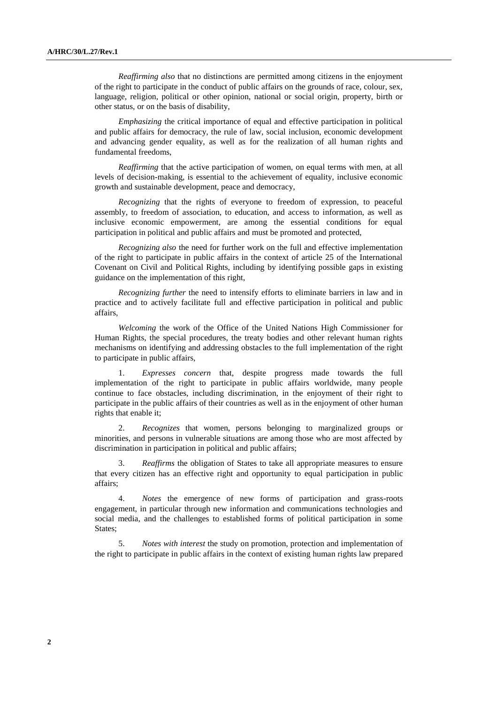*Reaffirming also* that no distinctions are permitted among citizens in the enjoyment of the right to participate in the conduct of public affairs on the grounds of race, colour, sex, language, religion, political or other opinion, national or social origin, property, birth or other status, or on the basis of disability,

*Emphasizing* the critical importance of equal and effective participation in political and public affairs for democracy, the rule of law, social inclusion, economic development and advancing gender equality, as well as for the realization of all human rights and fundamental freedoms,

*Reaffirming* that the active participation of women, on equal terms with men, at all levels of decision-making, is essential to the achievement of equality, inclusive economic growth and sustainable development, peace and democracy,

*Recognizing* that the rights of everyone to freedom of expression, to peaceful assembly, to freedom of association, to education, and access to information, as well as inclusive economic empowerment, are among the essential conditions for equal participation in political and public affairs and must be promoted and protected,

*Recognizing also* the need for further work on the full and effective implementation of the right to participate in public affairs in the context of article 25 of the International Covenant on Civil and Political Rights, including by identifying possible gaps in existing guidance on the implementation of this right,

*Recognizing further* the need to intensify efforts to eliminate barriers in law and in practice and to actively facilitate full and effective participation in political and public affairs,

*Welcoming* the work of the Office of the United Nations High Commissioner for Human Rights, the special procedures, the treaty bodies and other relevant human rights mechanisms on identifying and addressing obstacles to the full implementation of the right to participate in public affairs,

1. *Expresses concern* that, despite progress made towards the full implementation of the right to participate in public affairs worldwide, many people continue to face obstacles, including discrimination, in the enjoyment of their right to participate in the public affairs of their countries as well as in the enjoyment of other human rights that enable it;

2. *Recognizes* that women, persons belonging to marginalized groups or minorities, and persons in vulnerable situations are among those who are most affected by discrimination in participation in political and public affairs;

3. *Reaffirms* the obligation of States to take all appropriate measures to ensure that every citizen has an effective right and opportunity to equal participation in public affairs;

4. *Notes* the emergence of new forms of participation and grass-roots engagement, in particular through new information and communications technologies and social media, and the challenges to established forms of political participation in some States;

5. *Notes with interest* the study on promotion, protection and implementation of the right to participate in public affairs in the context of existing human rights law prepared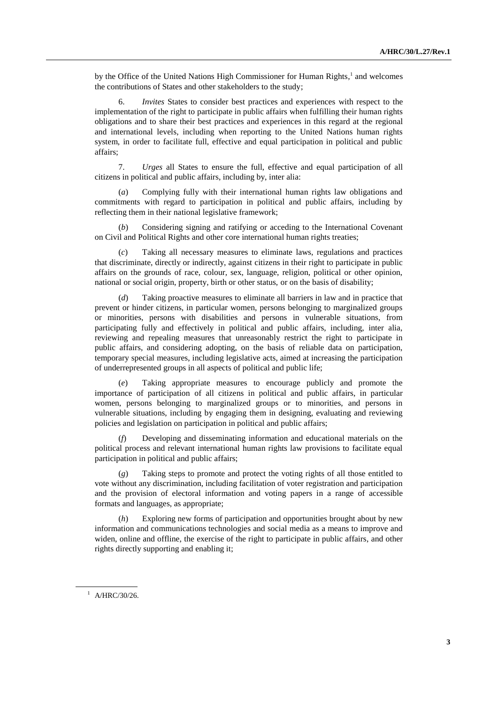by the Office of the United Nations High Commissioner for Human Rights,<sup>1</sup> and welcomes the contributions of States and other stakeholders to the study;

6. *Invites* States to consider best practices and experiences with respect to the implementation of the right to participate in public affairs when fulfilling their human rights obligations and to share their best practices and experiences in this regard at the regional and international levels, including when reporting to the United Nations human rights system, in order to facilitate full, effective and equal participation in political and public affairs;

7. *Urges* all States to ensure the full, effective and equal participation of all citizens in political and public affairs, including by, inter alia:

(*a*) Complying fully with their international human rights law obligations and commitments with regard to participation in political and public affairs, including by reflecting them in their national legislative framework;

(*b*) Considering signing and ratifying or acceding to the International Covenant on Civil and Political Rights and other core international human rights treaties;

(*c*) Taking all necessary measures to eliminate laws, regulations and practices that discriminate, directly or indirectly, against citizens in their right to participate in public affairs on the grounds of race, colour, sex, language, religion, political or other opinion, national or social origin, property, birth or other status, or on the basis of disability;

(*d*) Taking proactive measures to eliminate all barriers in law and in practice that prevent or hinder citizens, in particular women, persons belonging to marginalized groups or minorities, persons with disabilities and persons in vulnerable situations, from participating fully and effectively in political and public affairs, including, inter alia, reviewing and repealing measures that unreasonably restrict the right to participate in public affairs, and considering adopting, on the basis of reliable data on participation, temporary special measures, including legislative acts, aimed at increasing the participation of underrepresented groups in all aspects of political and public life;

(*e*) Taking appropriate measures to encourage publicly and promote the importance of participation of all citizens in political and public affairs, in particular women, persons belonging to marginalized groups or to minorities, and persons in vulnerable situations, including by engaging them in designing, evaluating and reviewing policies and legislation on participation in political and public affairs;

(*f*) Developing and disseminating information and educational materials on the political process and relevant international human rights law provisions to facilitate equal participation in political and public affairs;

(*g*) Taking steps to promote and protect the voting rights of all those entitled to vote without any discrimination, including facilitation of voter registration and participation and the provision of electoral information and voting papers in a range of accessible formats and languages, as appropriate;

(*h*) Exploring new forms of participation and opportunities brought about by new information and communications technologies and social media as a means to improve and widen, online and offline, the exercise of the right to participate in public affairs, and other rights directly supporting and enabling it;

 $1$  A/HRC/30/26.